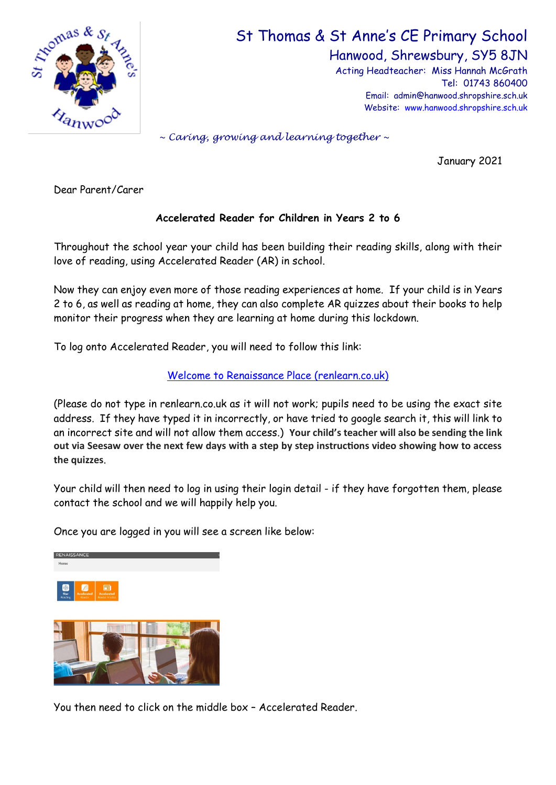

## St Thomas & St Anne's CE Primary School

Hanwood, Shrewsbury, SY5 8JN

Acting Headteacher: Miss Hannah McGrath Tel: 01743 860400 Email: admin@hanwood.shropshire.sch.uk Website: [www.hanwood.shropshire.sch.uk](http://www.hanwood.shropshire.sch.uk/)

*~ Caring, growing and learning together ~*

January 2021

Dear Parent/Carer

## **Accelerated Reader for Children in Years 2 to 6**

Throughout the school year your child has been building their reading skills, along with their love of reading, using Accelerated Reader (AR) in school.

Now they can enjoy even more of those reading experiences at home. If your child is in Years 2 to 6, as well as reading at home, they can also complete AR quizzes about their books to help monitor their progress when they are learning at home during this lockdown.

To log onto Accelerated Reader, you will need to follow this link:

## [Welcome to Renaissance Place \(renlearn.co.uk\)](https://ukhosted47.renlearn.co.uk/2247322/default.aspx)

(Please do not type in renlearn.co.uk as it will not work; pupils need to be using the exact site address. If they have typed it in incorrectly, or have tried to google search it, this will link to an incorrect site and will not allow them access.) **Your child's teacher will also be sending the link out via Seesaw over the next few days with a step by step instructions video showing how to access the quizzes**.

Your child will then need to log in using their login detail - if they have forgotten them, please contact the school and we will happily help you.

Once you are logged in you will see a screen like below:



You then need to click on the middle box – Accelerated Reader.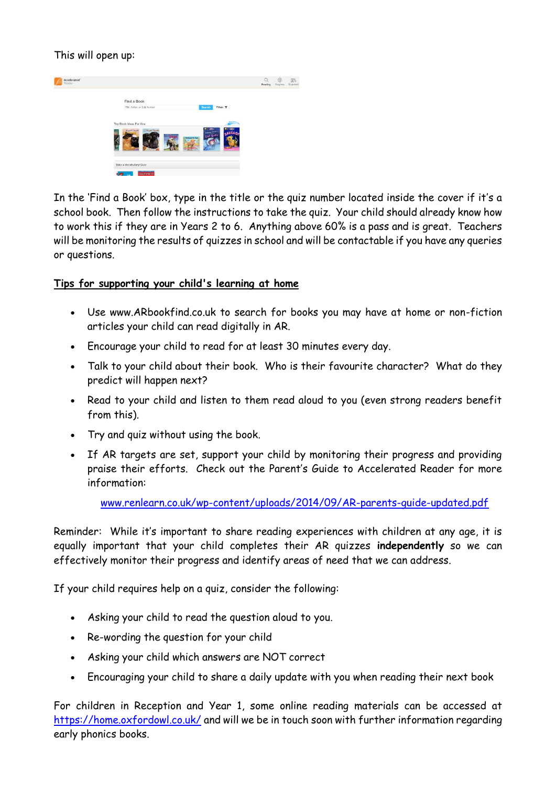This will open up:



In the 'Find a Book' box, type in the title or the quiz number located inside the cover if it's a school book. Then follow the instructions to take the quiz. Your child should already know how to work this if they are in Years 2 to 6. Anything above 60% is a pass and is great. Teachers will be monitoring the results of quizzes in school and will be contactable if you have any queries or questions.

## **Tips for supporting your child's learning at home**

- Use www.ARbookfind.co.uk to search for books you may have at home or non-fiction articles your child can read digitally in AR.
- Encourage your child to read for at least 30 minutes every day.
- Talk to your child about their book. Who is their favourite character? What do they predict will happen next?
- Read to your child and listen to them read aloud to you (even strong readers benefit from this).
- Try and quiz without using the book.
- If AR targets are set, support your child by monitoring their progress and providing praise their efforts. Check out the Parent's Guide to Accelerated Reader for more information:

[www.renlearn.co.uk/wp-content/uploads/2014/09/AR-parents-guide-updated.pdf](http://www.renlearn.co.uk/wp-content/uploads/2014/09/AR-parents-guide-updated.pdf)

Reminder: While it's important to share reading experiences with children at any age, it is equally important that your child completes their AR quizzes **independently** so we can effectively monitor their progress and identify areas of need that we can address.

If your child requires help on a quiz, consider the following:

- Asking your child to read the question aloud to you.
- Re-wording the question for your child
- Asking your child which answers are NOT correct
- Encouraging your child to share a daily update with you when reading their next book

For children in Reception and Year 1, some online reading materials can be accessed at <https://home.oxfordowl.co.uk/> and will we be in touch soon with further information regarding early phonics books.